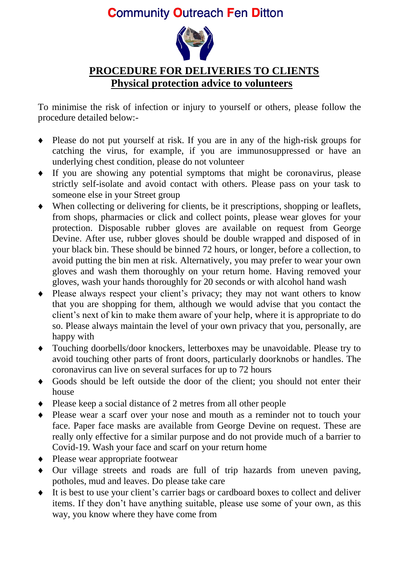## **Community Outreach Fen Ditton**



## **PROCEDURE FOR DELIVERIES TO CLIENTS Physical protection advice to volunteers**

To minimise the risk of infection or injury to yourself or others, please follow the procedure detailed below:-

- Please do not put yourself at risk. If you are in any of the high-risk groups for catching the virus, for example, if you are immunosuppressed or have an underlying chest condition, please do not volunteer
- If you are showing any potential symptoms that might be coronavirus, please strictly self-isolate and avoid contact with others. Please pass on your task to someone else in your Street group
- When collecting or delivering for clients, be it prescriptions, shopping or leaflets, from shops, pharmacies or click and collect points, please wear gloves for your protection. Disposable rubber gloves are available on request from George Devine. After use, rubber gloves should be double wrapped and disposed of in your black bin. These should be binned 72 hours, or longer, before a collection, to avoid putting the bin men at risk. Alternatively, you may prefer to wear your own gloves and wash them thoroughly on your return home. Having removed your gloves, wash your hands thoroughly for 20 seconds or with alcohol hand wash
- Please always respect your client's privacy; they may not want others to know that you are shopping for them, although we would advise that you contact the client's next of kin to make them aware of your help, where it is appropriate to do so. Please always maintain the level of your own privacy that you, personally, are happy with
- Touching doorbells/door knockers, letterboxes may be unavoidable. Please try to avoid touching other parts of front doors, particularly doorknobs or handles. The coronavirus can live on several surfaces for up to 72 hours
- Goods should be left outside the door of the client; you should not enter their house
- Please keep a social distance of 2 metres from all other people
- Please wear a scarf over your nose and mouth as a reminder not to touch your face. Paper face masks are available from George Devine on request. These are really only effective for a similar purpose and do not provide much of a barrier to Covid-19. Wash your face and scarf on your return home
- Please wear appropriate footwear
- Our village streets and roads are full of trip hazards from uneven paving, potholes, mud and leaves. Do please take care
- It is best to use your client's carrier bags or cardboard boxes to collect and deliver items. If they don't have anything suitable, please use some of your own, as this way, you know where they have come from